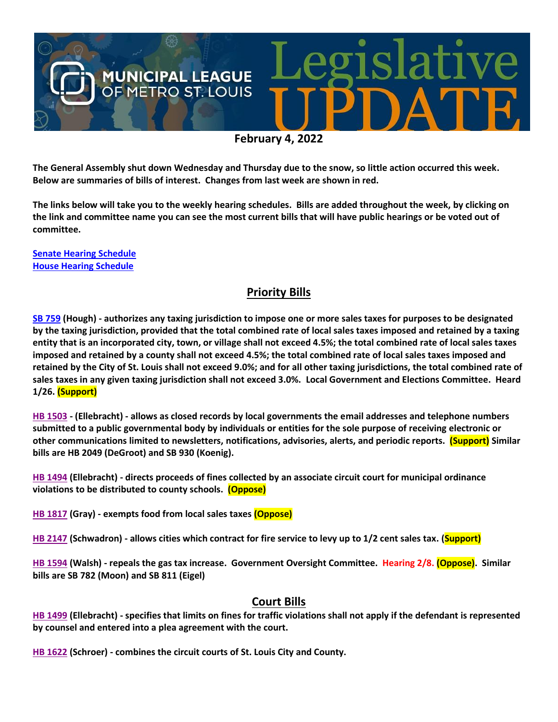

**The General Assembly shut down Wednesday and Thursday due to the snow, so little action occurred this week. Below are summaries of bills of interest. Changes from last week are shown in red.**

**The links below will take you to the weekly hearing schedules. Bills are added throughout the week, by clicking on the link and committee name you can see the most current bills that will have public hearings or be voted out of committee.**

**[Senate Hearing Schedule](https://www.senate.mo.gov/hearingsschedule/hrings.htm) [House Hearing Schedule](https://www.house.mo.gov/AllHearings.aspx?sdid=01182022)** 

#### **Priority Bills**

**[SB 759](https://www.senate.mo.gov/22info/BTS_Web/Bill.aspx?SessionType=R&BillID=71259645) (Hough) - authorizes any taxing jurisdiction to impose one or more sales taxes for purposes to be designated by the taxing jurisdiction, provided that the total combined rate of local sales taxes imposed and retained by a taxing entity that is an incorporated city, town, or village shall not exceed 4.5%; the total combined rate of local sales taxes imposed and retained by a county shall not exceed 4.5%; the total combined rate of local sales taxes imposed and retained by the City of St. Louis shall not exceed 9.0%; and for all other taxing jurisdictions, the total combined rate of sales taxes in any given taxing jurisdiction shall not exceed 3.0%. Local Government and Elections Committee. Heard 1/26. (Support)**

**[HB 1503](https://house.mo.gov/Bill.aspx?bill=HB1503&year=2022&code=R) - (Ellebracht) - allows as closed records by local governments the email addresses and telephone numbers submitted to a public governmental body by individuals or entities for the sole purpose of receiving electronic or other communications limited to newsletters, notifications, advisories, alerts, and periodic reports. (Support) Similar bills are HB 2049 (DeGroot) and SB 930 (Koenig).**

**[HB 1494](https://house.mo.gov/Bill.aspx?bill=HB1494&year=2022&code=R) (Ellebracht) - directs proceeds of fines collected by an associate circuit court for municipal ordinance violations to be distributed to county schools. (Oppose)**

**[HB 1817](https://house.mo.gov/Bill.aspx?bill=HB1817&year=2022&code=R) (Gray) - exempts food from local sales taxes (Oppose)**

**[HB 2147](https://house.mo.gov/Bill.aspx?bill=HB2147&year=2022&code=R) (Schwadron) - allows cities which contract for fire service to levy up to 1/2 cent sales tax. (Support)**

**[HB 1594](https://house.mo.gov/Bill.aspx?bill=HB1594&year=2022&code=R) (Walsh) - repeals the gas tax increase. Government Oversight Committee. Hearing 2/8. (Oppose). Similar bills are SB 782 (Moon) and SB 811 (Eigel)**

#### **Court Bills**

**[HB 1499](https://house.mo.gov/Bill.aspx?bill=HB1499&year=2022&code=R) (Ellebracht) - specifies that limits on fines for traffic violations shall not apply if the defendant is represented by counsel and entered into a plea agreement with the court.**

**[HB 1622](https://house.mo.gov/Bill.aspx?bill=HB1622&year=2022&code=R) (Schroer) - combines the circuit courts of St. Louis City and County.**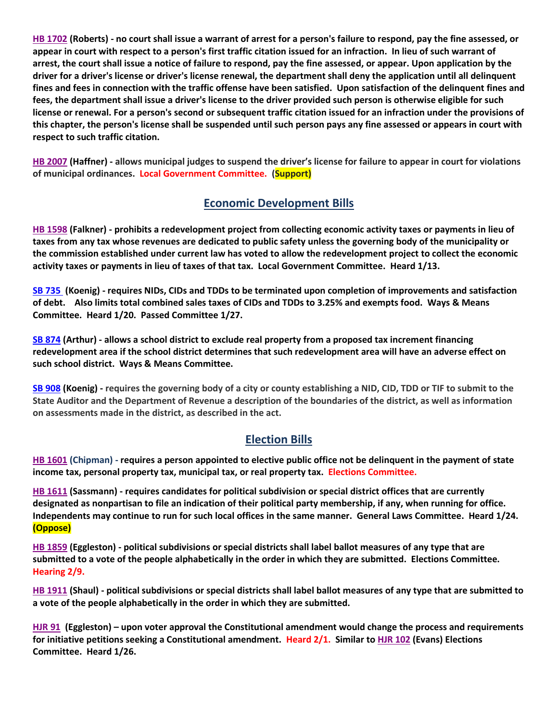**[HB 1702](https://house.mo.gov/Bill.aspx?bill=HB1702&year=2022&code=R) (Roberts) - no court shall issue a warrant of arrest for a person's failure to respond, pay the fine assessed, or appear in court with respect to a person's first traffic citation issued for an infraction. In lieu of such warrant of arrest, the court shall issue a notice of failure to respond, pay the fine assessed, or appear. Upon application by the driver for a driver's license or driver's license renewal, the department shall deny the application until all delinquent fines and fees in connection with the traffic offense have been satisfied. Upon satisfaction of the delinquent fines and fees, the department shall issue a driver's license to the driver provided such person is otherwise eligible for such license or renewal. For a person's second or subsequent traffic citation issued for an infraction under the provisions of this chapter, the person's license shall be suspended until such person pays any fine assessed or appears in court with respect to such traffic citation.**

**[HB 2007](https://house.mo.gov/Bill.aspx?bill=HB2007&year=2022&code=R) (Haffner) - allows municipal judges to suspend the driver's license for failure to appear in court for violations of municipal ordinances. Local Government Committee. (Support)**

## **Economic Development Bills**

**[HB 1598](https://house.mo.gov/Bill.aspx?bill=HB1598&year=2022&code=R) (Falkner) - prohibits a redevelopment project from collecting economic activity taxes or payments in lieu of taxes from any tax whose revenues are dedicated to public safety unless the governing body of the municipality or the commission established under current law has voted to allow the redevelopment project to collect the economic activity taxes or payments in lieu of taxes of that tax. Local Government Committee. Heard 1/13.**

**[SB 735](https://www.senate.mo.gov/22info/BTS_Web/Bill.aspx?SessionType=R&BillID=71259902%20%20) (Koenig) - requires NIDs, CIDs and TDDs to be terminated upon completion of improvements and satisfaction of debt. Also limits total combined sales taxes of CIDs and TDDs to 3.25% and exempts food. Ways & Means Committee. Heard 1/20. Passed Committee 1/27.**

**[SB 874](https://www.senate.mo.gov/22info/BTS_Web/Bill.aspx?SessionType=R&BillID=71259609) (Arthur) - allows a school district to exclude real property from a proposed tax increment financing redevelopment area if the school district determines that such redevelopment area will have an adverse effect on such school district. Ways & Means Committee.**

**[SB 908](https://www.senate.mo.gov/22info/BTS_Web/Bill.aspx?SessionType=R&BillID=71259913) (Koenig) - requires the governing body of a city or county establishing a NID, CID, TDD or TIF to submit to the State Auditor and the Department of Revenue a description of the boundaries of the district, as well as information on assessments made in the district, as described in the act.**

## **Election Bills**

**[HB 1601](https://house.mo.gov/Bill.aspx?bill=HB1601&year=2022&code=R) (Chipman) - requires a person appointed to elective public office not be delinquent in the payment of state income tax, personal property tax, municipal tax, or real property tax. Elections Committee.**

**HB [1611](https://house.mo.gov/Bill.aspx?bill=HB1611&year=2022&code=R) (Sassmann) - requires candidates for political subdivision or special district offices that are currently designated as nonpartisan to file an indication of their political party membership, if any, when running for office. Independents may continue to run for such local offices in the same manner. General Laws Committee. Heard 1/24. (Oppose)**

**[HB 1859](https://house.mo.gov/Bill.aspx?bill=HB1859&year=2022&code=R) (Eggleston) - political subdivisions or special districts shall label ballot measures of any type that are submitted to a vote of the people alphabetically in the order in which they are submitted. Elections Committee. Hearing 2/9.**

**[HB 1911](https://house.mo.gov/Bill.aspx?bill=HB1911&year=2022&code=R) (Shaul) - political subdivisions or special districts shall label ballot measures of any type that are submitted to a vote of the people alphabetically in the order in which they are submitted.**

**[HJR 91](https://www.house.mo.gov/Bill.aspx?bill=HJR91&year=2022&code=R) [\(Eggleston\)](https://www.house.mo.gov/MemberDetails.aspx?year=2022&district=2) – upon voter approval the Constitutional amendment would change the process and requirements for initiative petitions seeking a Constitutional amendment. Heard 2/1. Similar t[o HJR 102](https://www.house.mo.gov/Bill.aspx?bill=HJR102&year=2022&code=R) (Evans) Elections Committee. Heard 1/26.**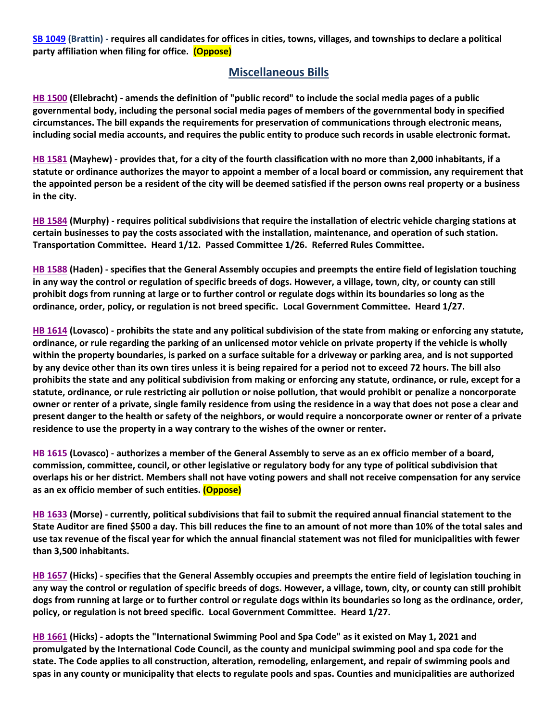**[SB 1049](https://www.senate.mo.gov/22info/BTS_Web/Bill.aspx?SessionType=R&BillID=73129349) (Brattin) - requires all candidates for offices in cities, towns, villages, and townships to declare a political party affiliation when filing for office. (Oppose)**

#### **Miscellaneous Bills**

**[HB 1500](https://house.mo.gov/Bill.aspx?bill=HB1500&year=2022&code=R) (Ellebracht) - amends the definition of "public record" to include the social media pages of a public governmental body, including the personal social media pages of members of the governmental body in specified circumstances. The bill expands the requirements for preservation of communications through electronic means, including social media accounts, and requires the public entity to produce such records in usable electronic format.**

**[HB 1581](https://house.mo.gov/Bill.aspx?bill=HB1581&year=2022&code=R) (Mayhew) - provides that, for a city of the fourth classification with no more than 2,000 inhabitants, if a statute or ordinance authorizes the mayor to appoint a member of a local board or commission, any requirement that the appointed person be a resident of the city will be deemed satisfied if the person owns real property or a business in the city.**

**[HB 1584](https://house.mo.gov/Bill.aspx?bill=HB1584&year=2022&code=R) (Murphy) - requires political subdivisions that require the installation of electric vehicle charging stations at certain businesses to pay the costs associated with the installation, maintenance, and operation of such station. Transportation Committee. Heard 1/12. Passed Committee 1/26. Referred Rules Committee.**

**[HB 1588](https://house.mo.gov/Bill.aspx?bill=HB1588&year=2022&code=R) (Haden) - specifies that the General Assembly occupies and preempts the entire field of legislation touching in any way the control or regulation of specific breeds of dogs. However, a village, town, city, or county can still prohibit dogs from running at large or to further control or regulate dogs within its boundaries so long as the ordinance, order, policy, or regulation is not breed specific. Local Government Committee. Heard 1/27.**

**[HB 1614](https://house.mo.gov/Bill.aspx?bill=HB1614&year=2022&code=R) (Lovasco) - prohibits the state and any political subdivision of the state from making or enforcing any statute, ordinance, or rule regarding the parking of an unlicensed motor vehicle on private property if the vehicle is wholly within the property boundaries, is parked on a surface suitable for a driveway or parking area, and is not supported by any device other than its own tires unless it is being repaired for a period not to exceed 72 hours. The bill also prohibits the state and any political subdivision from making or enforcing any statute, ordinance, or rule, except for a statute, ordinance, or rule restricting air pollution or noise pollution, that would prohibit or penalize a noncorporate owner or renter of a private, single family residence from using the residence in a way that does not pose a clear and present danger to the health or safety of the neighbors, or would require a noncorporate owner or renter of a private residence to use the property in a way contrary to the wishes of the owner or renter.**

**[HB 1615](https://house.mo.gov/Bill.aspx?bill=HB1615&year=2022&code=R) (Lovasco) - authorizes a member of the General Assembly to serve as an ex officio member of a board, commission, committee, council, or other legislative or regulatory body for any type of political subdivision that overlaps his or her district. Members shall not have voting powers and shall not receive compensation for any service as an ex officio member of such entities. (Oppose)**

**[HB 1633](https://house.mo.gov/Bill.aspx?bill=HB1633&year=2022&code=R) (Morse) - currently, political subdivisions that fail to submit the required annual financial statement to the State Auditor are fined \$500 a day. This bill reduces the fine to an amount of not more than 10% of the total sales and use tax revenue of the fiscal year for which the annual financial statement was not filed for municipalities with fewer than 3,500 inhabitants.**

**[HB 1657](https://house.mo.gov/Bill.aspx?bill=HB1657&year=2022&code=R) (Hicks) - specifies that the General Assembly occupies and preempts the entire field of legislation touching in any way the control or regulation of specific breeds of dogs. However, a village, town, city, or county can still prohibit dogs from running at large or to further control or regulate dogs within its boundaries so long as the ordinance, order, policy, or regulation is not breed specific. Local Government Committee. Heard 1/27.**

**[HB 1661](https://house.mo.gov/Bill.aspx?bill=HB1661&year=2022&code=R) (Hicks) - adopts the "International Swimming Pool and Spa Code" as it existed on May 1, 2021 and promulgated by the International Code Council, as the county and municipal swimming pool and spa code for the state. The Code applies to all construction, alteration, remodeling, enlargement, and repair of swimming pools and spas in any county or municipality that elects to regulate pools and spas. Counties and municipalities are authorized**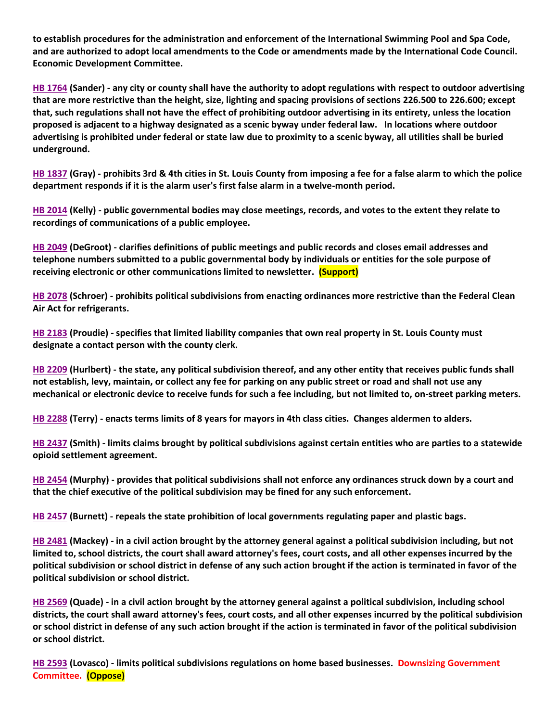**to establish procedures for the administration and enforcement of the International Swimming Pool and Spa Code, and are authorized to adopt local amendments to the Code or amendments made by the International Code Council. Economic Development Committee.**

**[HB 1764](https://house.mo.gov/Bill.aspx?bill=HB1764&year=2022&code=R) (Sander) - any city or county shall have the authority to adopt regulations with respect to outdoor advertising that are more restrictive than the height, size, lighting and spacing provisions of sections 226.500 to 226.600; except that, such regulations shall not have the effect of prohibiting outdoor advertising in its entirety, unless the location proposed is adjacent to a highway designated as a scenic byway under federal law. In locations where outdoor advertising is prohibited under federal or state law due to proximity to a scenic byway, all utilities shall be buried underground.**

**[HB 1837](https://house.mo.gov/Bill.aspx?bill=HB1837&year=2022&code=R) (Gray) - prohibits 3rd & 4th cities in St. Louis County from imposing a fee for a false alarm to which the police department responds if it is the alarm user's first false alarm in a twelve-month period.**

**[HB 2014](https://house.mo.gov/Bill.aspx?bill=HB2014&year=2022&code=R) (Kelly) - public governmental bodies may close meetings, records, and votes to the extent they relate to recordings of communications of a public employee.**

**[HB 2049](https://house.mo.gov/Bill.aspx?bill=HB2049&year=2022&code=R) (DeGroot) - clarifies definitions of public meetings and public records and closes email addresses and telephone numbers submitted to a public governmental body by individuals or entities for the sole purpose of receiving electronic or other communications limited to newsletter. (Support)**

**[HB 2078](https://www.house.mo.gov/Bill.aspx?bill=HB2078&year=2022&code=R) (Schroer) - prohibits political subdivisions from enacting ordinances more restrictive than the Federal Clean Air Act for refrigerants.**

**[HB 2183](https://house.mo.gov/Bill.aspx?bill=HB2183&year=2022&code=R) (Proudie) - specifies that limited liability companies that own real property in St. Louis County must designate a contact person with the county clerk.**

**[HB 2209](https://house.mo.gov/Bill.aspx?bill=HB2209&year=2022&code=R) (Hurlbert) - the state, any political subdivision thereof, and any other entity that receives public funds shall not establish, levy, maintain, or collect any fee for parking on any public street or road and shall not use any mechanical or electronic device to receive funds for such a fee including, but not limited to, on-street parking meters.**

**[HB 2288](https://www.house.mo.gov/Bill.aspx?bill=HB2288&year=2022&code=R) (Terry) - enacts terms limits of 8 years for mayors in 4th class cities. Changes aldermen to alders.**

**[HB 2437](https://house.mo.gov/Bill.aspx?bill=HB2437&year=2022&code=R) (Smith) - limits claims brought by political subdivisions against certain entities who are parties to a statewide opioid settlement agreement.**

**[HB 2454](https://house.mo.gov/Bill.aspx?bill=HB2454&year=2022&code=R) (Murphy) - provides that political subdivisions shall not enforce any ordinances struck down by a court and that the chief executive of the political subdivision may be fined for any such enforcement.**

**[HB 2457](https://house.mo.gov/Bill.aspx?bill=HB2457&year=2022&code=R) (Burnett) - repeals the state prohibition of local governments regulating paper and plastic bags.**

**[HB 2481](https://house.mo.gov/Bill.aspx?bill=HB2481&year=2022&code=R) (Mackey) - in a civil action brought by the attorney general against a political subdivision including, but not limited to, school districts, the court shall award attorney's fees, court costs, and all other expenses incurred by the political subdivision or school district in defense of any such action brought if the action is terminated in favor of the political subdivision or school district.**

**[HB 2569](https://www.house.mo.gov/Bill.aspx?bill=HB2569&year=2022&code=R) (Quade) - in a civil action brought by the attorney general against a political subdivision, including school districts, the court shall award attorney's fees, court costs, and all other expenses incurred by the political subdivision or school district in defense of any such action brought if the action is terminated in favor of the political subdivision or school district.**

**[HB 2593](https://www.house.mo.gov/Bill.aspx?bill=HB2593&year=2022&code=R) (Lovasco) - limits political subdivisions regulations on home based businesses. Downsizing Government Committee. (Oppose)**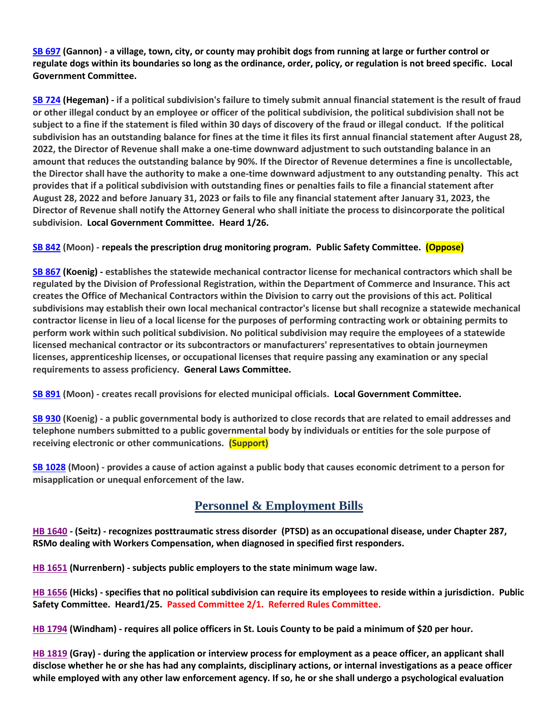**[SB 697](https://www.senate.mo.gov/22info/BTS_Web/Bill.aspx?SessionType=R&BillID=71259741) (Gannon) - a village, town, city, or county may prohibit dogs from running at large or further control or regulate dogs within its boundaries so long as the ordinance, order, policy, or regulation is not breed specific. Local Government Committee.**

**[SB 724](https://www.senate.mo.gov/22info/BTS_Web/Bill.aspx?SessionType=R&BillID=71259818) (Hegeman) - if a political subdivision's failure to timely submit annual financial statement is the result of fraud or other illegal conduct by an employee or officer of the political subdivision, the political subdivision shall not be subject to a fine if the statement is filed within 30 days of discovery of the fraud or illegal conduct. If the political subdivision has an outstanding balance for fines at the time it files its first annual financial statement after August 28, 2022, the Director of Revenue shall make a one-time downward adjustment to such outstanding balance in an amount that reduces the outstanding balance by 90%. If the Director of Revenue determines a fine is uncollectable, the Director shall have the authority to make a one-time downward adjustment to any outstanding penalty. This act provides that if a political subdivision with outstanding fines or penalties fails to file a financial statement after August 28, 2022 and before January 31, 2023 or fails to file any financial statement after January 31, 2023, the Director of Revenue shall notify the Attorney General who shall initiate the process to disincorporate the political subdivision. Local Government Committee. Heard 1/26.**

#### **[SB 842](https://www.senate.mo.gov/22info/BTS_Web/Bill.aspx?SessionType=R&BillID=71259877) (Moon) - repeals the prescription drug monitoring program. Public Safety Committee. (Oppose)**

**[SB 867](https://www.senate.mo.gov/22info/BTS_Web/Bill.aspx?SessionType=R&BillID=71259909) (Koenig) - establishes the statewide mechanical contractor license for mechanical contractors which shall be regulated by the Division of Professional Registration, within the Department of Commerce and Insurance. This act creates the Office of Mechanical Contractors within the Division to carry out the provisions of this act. Political subdivisions may establish their own local mechanical contractor's license but shall recognize a statewide mechanical contractor license in lieu of a local license for the purposes of performing contracting work or obtaining permits to perform work within such political subdivision. No political subdivision may require the employees of a statewide licensed mechanical contractor or its subcontractors or manufacturers' representatives to obtain journeymen licenses, apprenticeship licenses, or occupational licenses that require passing any examination or any special requirements to assess proficiency. General Laws Committee.**

**[SB 891](https://www.senate.mo.gov/22info/BTS_Web/Bill.aspx?SessionType=R&BillID=71259885) (Moon) - creates recall provisions for elected municipal officials. Local Government Committee.**

**[SB 930](https://www.senate.mo.gov/22info/BTS_Web/Bill.aspx?SessionType=R&BillID=71259916) (Koenig) - a public governmental body is authorized to close records that are related to email addresses and telephone numbers submitted to a public governmental body by individuals or entities for the sole purpose of receiving electronic or other communications. (Support)**

**[SB 1028](https://www.senate.mo.gov/22info/BTS_Web/Bill.aspx?SessionType=R&BillID=72748795) (Moon) - provides a cause of action against a public body that causes economic detriment to a person for misapplication or unequal enforcement of the law.** 

## **Personnel & Employment Bills**

**[HB 1640](https://house.mo.gov/Bill.aspx?bill=HB1640&year=2022&code=R) - (Seitz) - recognizes posttraumatic stress disorder (PTSD) as an occupational disease, under Chapter 287, RSMo dealing with Workers Compensation, when diagnosed in specified first responders.**

**[HB 1651](https://house.mo.gov/Bill.aspx?bill=HB1651&year=2022&code=R) (Nurrenbern) - subjects public employers to the state minimum wage law.**

**[HB 1656](https://house.mo.gov/Bill.aspx?bill=HB1656&year=2022&code=R) (Hicks) - specifies that no political subdivision can require its employees to reside within a jurisdiction. Public Safety Committee. Heard1/25. Passed Committee 2/1. Referred Rules Committee.**

**[HB 1794](https://house.mo.gov/Bill.aspx?bill=HB1794&year=2022&code=R) (Windham) - requires all police officers in St. Louis County to be paid a minimum of \$20 per hour.**

**[HB 1819](https://house.mo.gov/Bill.aspx?bill=HB1819&year=2022&code=R) (Gray) - during the application or interview process for employment as a peace officer, an applicant shall disclose whether he or she has had any complaints, disciplinary actions, or internal investigations as a peace officer while employed with any other law enforcement agency. If so, he or she shall undergo a psychological evaluation**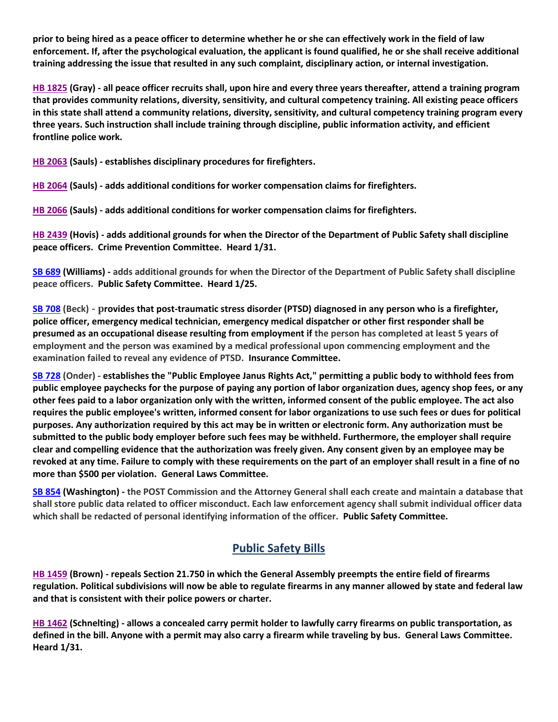**prior to being hired as a peace officer to determine whether he or she can effectively work in the field of law enforcement. If, after the psychological evaluation, the applicant is found qualified, he or she shall receive additional training addressing the issue that resulted in any such complaint, disciplinary action, or internal investigation.**

**[HB 1825](https://house.mo.gov/Bill.aspx?bill=HB1825&year=2022&code=R) (Gray) - all peace officer recruits shall, upon hire and every three years thereafter, attend a training program that provides community relations, diversity, sensitivity, and cultural competency training. All existing peace officers in this state shall attend a community relations, diversity, sensitivity, and cultural competency training program every three years. Such instruction shall include training through discipline, public information activity, and efficient frontline police work.**

**[HB 2063](https://house.mo.gov/Bill.aspx?bill=HB2063&year=2022&code=R) (Sauls) - establishes disciplinary procedures for firefighters.**

**[HB 2064](https://house.mo.gov/Bill.aspx?bill=HB2064&year=2022&code=R) (Sauls) - adds additional conditions for worker compensation claims for firefighters.** 

**[HB 2066](https://house.mo.gov/Bill.aspx?bill=HB2066&year=2022&code=R) (Sauls) - adds additional conditions for worker compensation claims for firefighters.**

**[HB 2439](https://house.mo.gov/Bill.aspx?bill=HB2439&year=2022&code=R) (Hovis) - adds additional grounds for when the Director of the Department of Public Safety shall discipline peace officers. Crime Prevention Committee. Heard 1/31.**

**[SB 689](https://www.senate.mo.gov/22info/BTS_Web/Bill.aspx?SessionType=R&BillID=71259715) (Williams) - adds additional grounds for when the Director of the Department of Public Safety shall discipline peace officers. Public Safety Committee. Heard 1/25.**

**[SB 708](https://www.senate.mo.gov/22info/BTS_Web/Bill.aspx?SessionType=R&BillID=71259735) (Beck) - provides that post-traumatic stress disorder (PTSD) diagnosed in any person who is a firefighter, police officer, emergency medical technician, emergency medical dispatcher or other first responder shall be presumed as an occupational disease resulting from employment if the person has completed at least 5 years of employment and the person was examined by a medical professional upon commencing employment and the examination failed to reveal any evidence of PTSD. Insurance Committee.**

**[SB 728](https://www.senate.mo.gov/22info/BTS_Web/Bill.aspx?SessionType=R&BillID=71259712) (Onder) - establishes the "Public Employee Janus Rights Act," permitting a public body to withhold fees from public employee paychecks for the purpose of paying any portion of labor organization dues, agency shop fees, or any other fees paid to a labor organization only with the written, informed consent of the public employee. The act also requires the public employee's written, informed consent for labor organizations to use such fees or dues for political purposes. Any authorization required by this act may be in written or electronic form. Any authorization must be submitted to the public body employer before such fees may be withheld. Furthermore, the employer shall require clear and compelling evidence that the authorization was freely given. Any consent given by an employee may be revoked at any time. Failure to comply with these requirements on the part of an employer shall result in a fine of no more than \$500 per violation. General Laws Committee.**

**[SB 854](https://www.senate.mo.gov/22info/BTS_Web/Bill.aspx?SessionType=R&BillID=71259653) (Washington) - the POST Commission and the Attorney General shall each create and maintain a database that shall store public data related to officer misconduct. Each law enforcement agency shall submit individual officer data which shall be redacted of personal identifying information of the officer. Public Safety Committee.**

## **Public Safety Bills**

**[HB 1459](https://house.mo.gov/Bill.aspx?bill=HB1459&year=2022&code=R) (Brown) - repeals Section 21.750 in which the General Assembly preempts the entire field of firearms regulation. Political subdivisions will now be able to regulate firearms in any manner allowed by state and federal law and that is consistent with their police powers or charter.**

**[HB 1462](https://house.mo.gov/Bill.aspx?bill=HB1462&year=2022&code=R) (Schnelting) - allows a concealed carry permit holder to lawfully carry firearms on public transportation, as defined in the bill. Anyone with a permit may also carry a firearm while traveling by bus. General Laws Committee. Heard 1/31.**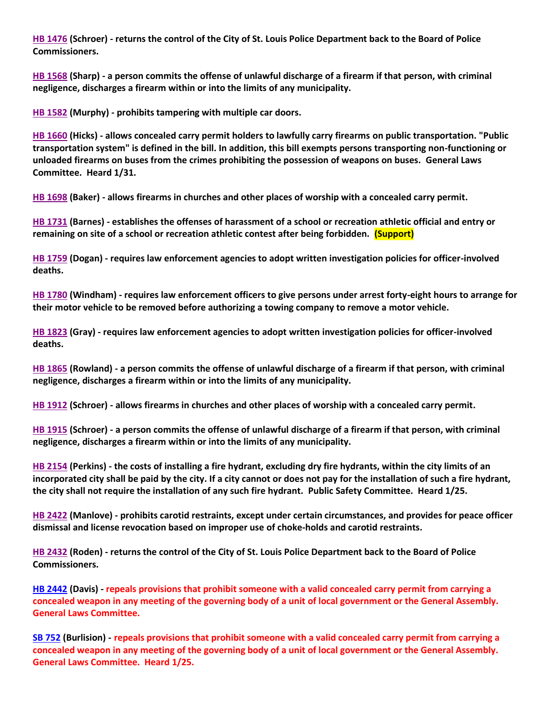**[HB 1476](https://house.mo.gov/Bill.aspx?bill=HB1476&year=2022&code=R) (Schroer) - returns the control of the City of St. Louis Police Department back to the Board of Police Commissioners.**

**[HB 1568](https://house.mo.gov/Bill.aspx?bill=HB1568&year=2022&code=R) (Sharp) - a person commits the offense of unlawful discharge of a firearm if that person, with criminal negligence, discharges a firearm within or into the limits of any municipality.**

**[HB 1582](https://house.mo.gov/Bill.aspx?bill=HB1582&year=2022&code=R) (Murphy) - prohibits tampering with multiple car doors.**

**[HB 1660](https://house.mo.gov/Bill.aspx?bill=HB1660&year=2022&code=R) (Hicks) - allows concealed carry permit holders to lawfully carry firearms on public transportation. "Public transportation system" is defined in the bill. In addition, this bill exempts persons transporting non-functioning or unloaded firearms on buses from the crimes prohibiting the possession of weapons on buses. General Laws Committee. Heard 1/31.**

**[HB 1698](https://house.mo.gov/Bill.aspx?bill=HB1698&year=2022&code=R) (Baker) - allows firearms in churches and other places of worship with a concealed carry permit.**

**[HB 1731](https://house.mo.gov/Bill.aspx?bill=HB1731&year=2022&code=R) (Barnes) - establishes the offenses of harassment of a school or recreation athletic official and entry or remaining on site of a school or recreation athletic contest after being forbidden. (Support)**

**[HB 1759](https://house.mo.gov/Bill.aspx?bill=HB1759&year=2022&code=R) (Dogan) - requires law enforcement agencies to adopt written investigation policies for officer-involved deaths.**

**[HB 1780](https://house.mo.gov/Bill.aspx?bill=HB1780&year=2022&code=R) (Windham) - requires law enforcement officers to give persons under arrest forty-eight hours to arrange for their motor vehicle to be removed before authorizing a towing company to remove a motor vehicle.**

**[HB 1823](https://house.mo.gov/Bill.aspx?bill=HB1823&year=2022&code=R) (Gray) - requires law enforcement agencies to adopt written investigation policies for officer-involved deaths.**

**[HB 1865](https://house.mo.gov/Bill.aspx?bill=HB1865&year=2022&code=R) (Rowland) - a person commits the offense of unlawful discharge of a firearm if that person, with criminal negligence, discharges a firearm within or into the limits of any municipality.**

**[HB 1912](https://house.mo.gov/Bill.aspx?bill=HB1912&year=2022&code=R) (Schroer) - allows firearms in churches and other places of worship with a concealed carry permit.**

**[HB 1915](https://house.mo.gov/Bill.aspx?bill=HB1915&year=2022&code=R) (Schroer) - a person commits the offense of unlawful discharge of a firearm if that person, with criminal negligence, discharges a firearm within or into the limits of any municipality.**

**[HB 2154](https://house.mo.gov/Bill.aspx?bill=HB2154&year=2022&code=R) (Perkins) - the costs of installing a fire hydrant, excluding dry fire hydrants, within the city limits of an incorporated city shall be paid by the city. If a city cannot or does not pay for the installation of such a fire hydrant, the city shall not require the installation of any such fire hydrant. Public Safety Committee. Heard 1/25.**

**[HB 2422](https://house.mo.gov/Bill.aspx?bill=HB2422&year=2022&code=R) (Manlove) - prohibits carotid restraints, except under certain circumstances, and provides for peace officer dismissal and license revocation based on improper use of choke-holds and carotid restraints.**

**[HB 2432](https://house.mo.gov/Bill.aspx?bill=HB2432&year=2022&code=R) (Roden) - returns the control of the City of St. Louis Police Department back to the Board of Police Commissioners.**

**[HB 2442](https://www.house.mo.gov/Bill.aspx?bill=HB2442&year=2022&code=R) (Davis) - repeals provisions that prohibit someone with a valid concealed carry permit from carrying a concealed weapon in any meeting of the governing body of a unit of local government or the General Assembly. General Laws Committee.** 

**[SB 752](https://www.senate.mo.gov/22info/BTS_Web/Bill.aspx?SessionType=R&BillID=71259697) (Burlision) - repeals provisions that prohibit someone with a valid concealed carry permit from carrying a concealed weapon in any meeting of the governing body of a unit of local government or the General Assembly. General Laws Committee. Heard 1/25.**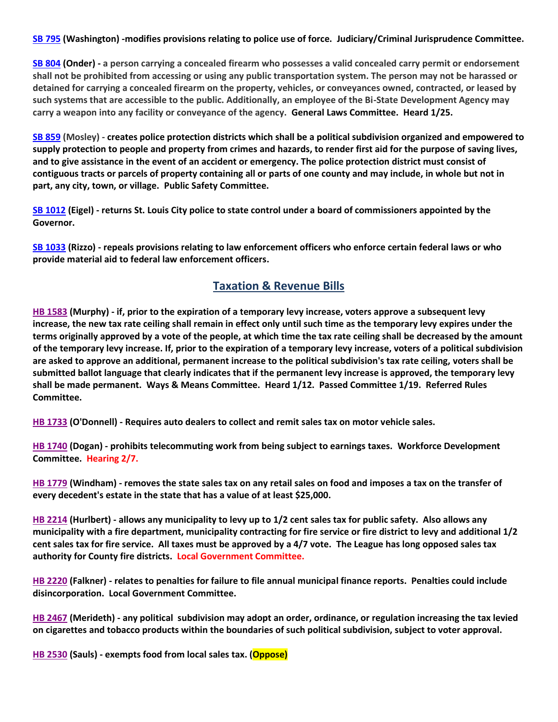#### **[SB 795](https://www.senate.mo.gov/22info/BTS_Web/Bill.aspx?SessionType=R&BillID=71259650) (Washington) -modifies provisions relating to police use of force. Judiciary/Criminal Jurisprudence Committee.**

**[SB 804](https://www.senate.mo.gov/22info/BTS_Web/Bill.aspx?SessionType=R&BillID=71263286) (Onder) - a person carrying a concealed firearm who possesses a valid concealed carry permit or endorsement shall not be prohibited from accessing or using any public transportation system. The person may not be harassed or detained for carrying a concealed firearm on the property, vehicles, or conveyances owned, contracted, or leased by such systems that are accessible to the public. Additionally, an employee of the Bi-State Development Agency may carry a weapon into any facility or conveyance of the agency. General Laws Committee. Heard 1/25.**

**[SB 859](https://www.senate.mo.gov/22info/BTS_Web/Bill.aspx?SessionType=R&BillID=71259622) (Mosley) - creates police protection districts which shall be a political subdivision organized and empowered to supply protection to people and property from crimes and hazards, to render first aid for the purpose of saving lives, and to give assistance in the event of an accident or emergency. The police protection district must consist of contiguous tracts or parcels of property containing all or parts of one county and may include, in whole but not in part, any city, town, or village. Public Safety Committee.**

**[SB 1012](https://www.senate.mo.gov/22info/BTS_Web/Bill.aspx?SessionType=R&BillID=72392417) (Eigel) - returns St. Louis City police to state control under a board of commissioners appointed by the Governor.**

**[SB 1033](https://www.senate.mo.gov/22info/BTS_Web/Bill.aspx?SessionType=R&BillID=72748800) (Rizzo) - repeals provisions relating to law enforcement officers who enforce certain federal laws or who provide material aid to federal law enforcement officers.**

#### **Taxation & Revenue Bills**

**[HB 1583](https://house.mo.gov/Bill.aspx?bill=HB1583&year=2022&code=R) (Murphy) - if, prior to the expiration of a temporary levy increase, voters approve a subsequent levy increase, the new tax rate ceiling shall remain in effect only until such time as the temporary levy expires under the terms originally approved by a vote of the people, at which time the tax rate ceiling shall be decreased by the amount of the temporary levy increase. If, prior to the expiration of a temporary levy increase, voters of a political subdivision are asked to approve an additional, permanent increase to the political subdivision's tax rate ceiling, voters shall be submitted ballot language that clearly indicates that if the permanent levy increase is approved, the temporary levy shall be made permanent. Ways & Means Committee. Heard 1/12. Passed Committee 1/19. Referred Rules Committee.**

**[HB 1733](https://house.mo.gov/Bill.aspx?bill=HB1733&year=2022&code=R) (O'Donnell) - Requires auto dealers to collect and remit sales tax on motor vehicle sales.**

**[HB 1740](https://house.mo.gov/Bill.aspx?bill=HB1740&year=2022&code=R) (Dogan) - prohibits telecommuting work from being subject to earnings taxes. Workforce Development Committee. Hearing 2/7.**

**[HB 1779](https://house.mo.gov/Bill.aspx?bill=HB1779&year=2022&code=R) (Windham) - removes the state sales tax on any retail sales on food and imposes a tax on the transfer of every decedent's estate in the state that has a value of at least \$25,000.**

**[HB 2214](https://house.mo.gov/Bill.aspx?bill=HB2214&year=2022&code=R) (Hurlbert) - allows any municipality to levy up to 1/2 cent sales tax for public safety. Also allows any municipality with a fire department, municipality contracting for fire service or fire district to levy and additional 1/2 cent sales tax for fire service. All taxes must be approved by a 4/7 vote. The League has long opposed sales tax authority for County fire districts. Local Government Committee.**

**[HB 2220](https://house.mo.gov/Bill.aspx?bill=HB2220&year=2022&code=R) (Falkner) - relates to penalties for failure to file annual municipal finance reports. Penalties could include disincorporation. Local Government Committee.**

**[HB 2467](https://house.mo.gov/Bill.aspx?bill=HB2467&year=2022&code=R) (Merideth) - any political subdivision may adopt an order, ordinance, or regulation increasing the tax levied on cigarettes and tobacco products within the boundaries of such political subdivision, subject to voter approval.**

**[HB 2530](https://www.house.mo.gov/Bill.aspx?bill=HB2530&year=2022&code=R) (Sauls) - exempts food from local sales tax. (Oppose)**